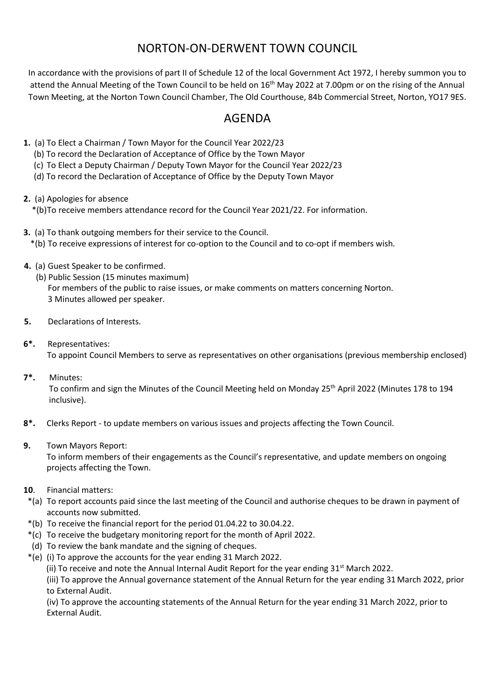## NORTON-ON-DERWENT TOWN COUNCIL

In accordance with the provisions of part II of Schedule 12 of the local Government Act 1972, I hereby summon you to attend the Annual Meeting of the Town Council to be held on 16<sup>th</sup> May 2022 at 7.00pm or on the rising of the Annual Town Meeting, at the Norton Town Council Chamber, The Old Courthouse, 84b Commercial Street, Norton, YO17 9ES.

## AGENDA

- **1.** (a) To Elect a Chairman / Town Mayor for the Council Year 2022/23
	- (b) To record the Declaration of Acceptance of Office by the Town Mayor
	- (c) To Elect a Deputy Chairman / Deputy Town Mayor for the Council Year 2022/23
	- (d) To record the Declaration of Acceptance of Office by the Deputy Town Mayor
- **2.** (a) Apologies for absence \*(b)To receive members attendance record for the Council Year 2021/22. For information.
- **3.** (a) To thank outgoing members for their service to the Council. \*(b) To receive expressions of interest for co-option to the Council and to co-opt if members wish.
- **4.** (a) Guest Speaker to be confirmed.
	- (b) Public Session (15 minutes maximum) For members of the public to raise issues, or make comments on matters concerning Norton. 3 Minutes allowed per speaker.
- **5.** Declarations of Interests.
- **6\*.** Representatives: To appoint Council Members to serve as representatives on other organisations (previous membership enclosed)
- **7\*.** Minutes:

To confirm and sign the Minutes of the Council Meeting held on Monday 25<sup>th</sup> April 2022 (Minutes 178 to 194 inclusive).

- **8\*.** Clerks Report to update members on various issues and projects affecting the Town Council.
- **9.** Town Mayors Report:

 To inform members of their engagements as the Council's representative, and update members on ongoing projects affecting the Town.

- **10**. Financial matters:
- \*(a) To report accounts paid since the last meeting of the Council and authorise cheques to be drawn in payment of accounts now submitted.
- \*(b) To receive the financial report for the period 01.04.22 to 30.04.22.
- \*(c) To receive the budgetary monitoring report for the month of April 2022.
- (d) To review the bank mandate and the signing of cheques.
- \*(e) (i) To approve the accounts for the year ending 31 March 2022.
	- (ii) To receive and note the Annual Internal Audit Report for the year ending  $31<sup>st</sup>$  March 2022.

 (iii) To approve the Annual governance statement of the Annual Return for the year ending 31 March 2022, prior to External Audit.

(iv) To approve the accounting statements of the Annual Return for the year ending 31 March 2022, prior to External Audit.